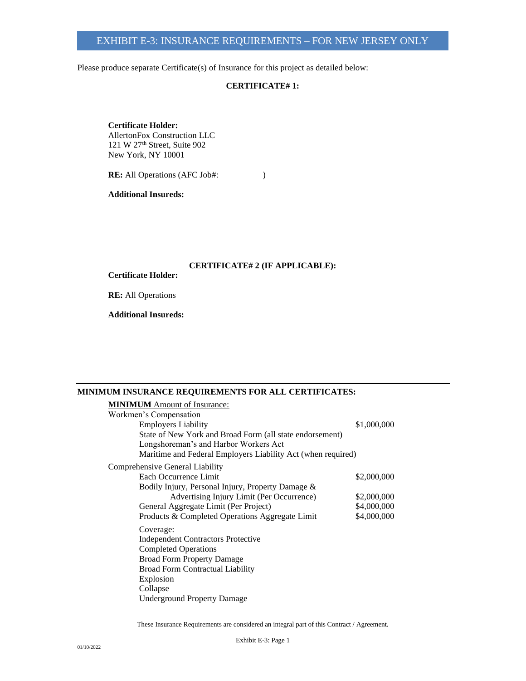Please produce separate Certificate(s) of Insurance for this project as detailed below:

# **CERTIFICATE# 1:**

**Certificate Holder:** AllertonFox Construction LLC 121 W 27th Street, Suite 902 New York, NY 10001

**RE:** All Operations (AFC Job#: )

**Additional Insureds:**

## **CERTIFICATE# 2 (IF APPLICABLE):**

**Certificate Holder:**

**RE:** All Operations

**Additional Insureds:**

### **MINIMUM INSURANCE REQUIREMENTS FOR ALL CERTIFICATES:**

| <b>MINIMUM</b> Amount of Insurance:                          |             |
|--------------------------------------------------------------|-------------|
| Workmen's Compensation                                       |             |
| <b>Employers Liability</b>                                   | \$1,000,000 |
| State of New York and Broad Form (all state endorsement)     |             |
| Longshoreman's and Harbor Workers Act                        |             |
| Maritime and Federal Employers Liability Act (when required) |             |
| Comprehensive General Liability                              |             |
| Each Occurrence Limit                                        | \$2,000,000 |
| Bodily Injury, Personal Injury, Property Damage &            |             |
| Advertising Injury Limit (Per Occurrence)                    | \$2,000,000 |
| General Aggregate Limit (Per Project)                        | \$4,000,000 |
| Products & Completed Operations Aggregate Limit              | \$4,000,000 |
| Coverage:                                                    |             |
| <b>Independent Contractors Protective</b>                    |             |
| <b>Completed Operations</b>                                  |             |
| <b>Broad Form Property Damage</b>                            |             |
| <b>Broad Form Contractual Liability</b>                      |             |
| Explosion                                                    |             |
| Collapse                                                     |             |
| <b>Underground Property Damage</b>                           |             |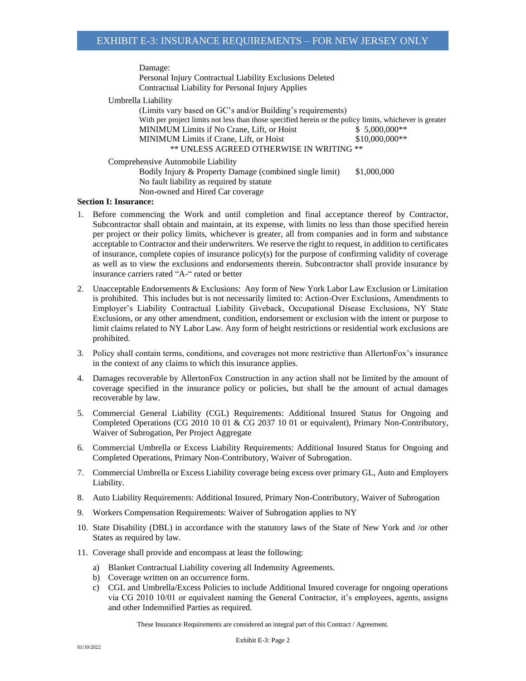Damage:

Personal Injury Contractual Liability Exclusions Deleted Contractual Liability for Personal Injury Applies

Umbrella Liability

(Limits vary based on GC's and/or Building's requirements) With per project limits not less than those specified herein or the policy limits, whichever is greater MINIMUM Limits if No Crane, Lift, or Hoist  $$5,000,000**$ MINIMUM Limits if Crane, Lift, or Hoist  $$10,000,000$ \*\* \*\* UNLESS AGREED OTHERWISE IN WRITING \*\*

Comprehensive Automobile Liability

Bodily Injury & Property Damage (combined single limit) \$1,000,000 No fault liability as required by statute Non-owned and Hired Car coverage

### **Section I: Insurance:**

- 1. Before commencing the Work and until completion and final acceptance thereof by Contractor, Subcontractor shall obtain and maintain, at its expense, with limits no less than those specified herein per project or their policy limits, whichever is greater, all from companies and in form and substance acceptable to Contractor and their underwriters. We reserve the right to request, in addition to certificates of insurance, complete copies of insurance policy(s) for the purpose of confirming validity of coverage as well as to view the exclusions and endorsements therein. Subcontractor shall provide insurance by insurance carriers rated "A-" rated or better
- 2. Unacceptable Endorsements & Exclusions: Any form of New York Labor Law Exclusion or Limitation is prohibited. This includes but is not necessarily limited to: Action-Over Exclusions, Amendments to Employer's Liability Contractual Liability Giveback, Occupational Disease Exclusions, NY State Exclusions, or any other amendment, condition, endorsement or exclusion with the intent or purpose to limit claims related to NY Labor Law. Any form of height restrictions or residential work exclusions are prohibited.
- 3. Policy shall contain terms, conditions, and coverages not more restrictive than AllertonFox's insurance in the context of any claims to which this insurance applies.
- 4. Damages recoverable by AllertonFox Construction in any action shall not be limited by the amount of coverage specified in the insurance policy or policies, but shall be the amount of actual damages recoverable by law.
- 5. Commercial General Liability (CGL) Requirements: Additional Insured Status for Ongoing and Completed Operations (CG 2010 10 01 & CG 2037 10 01 or equivalent), Primary Non-Contributory, Waiver of Subrogation, Per Project Aggregate
- 6. Commercial Umbrella or Excess Liability Requirements: Additional Insured Status for Ongoing and Completed Operations, Primary Non-Contributory, Waiver of Subrogation.
- 7. Commercial Umbrella or Excess Liability coverage being excess over primary GL, Auto and Employers Liability.
- 8. Auto Liability Requirements: Additional Insured, Primary Non-Contributory, Waiver of Subrogation
- 9. Workers Compensation Requirements: Waiver of Subrogation applies to NY
- 10. State Disability (DBL) in accordance with the statutory laws of the State of New York and /or other States as required by law.
- 11. Coverage shall provide and encompass at least the following:
	- a) Blanket Contractual Liability covering all Indemnity Agreements.
	- b) Coverage written on an occurrence form.
	- c) CGL and Umbrella/Excess Policies to include Additional Insured coverage for ongoing operations via CG 2010 10/01 or equivalent naming the General Contractor, it's employees, agents, assigns and other Indemnified Parties as required.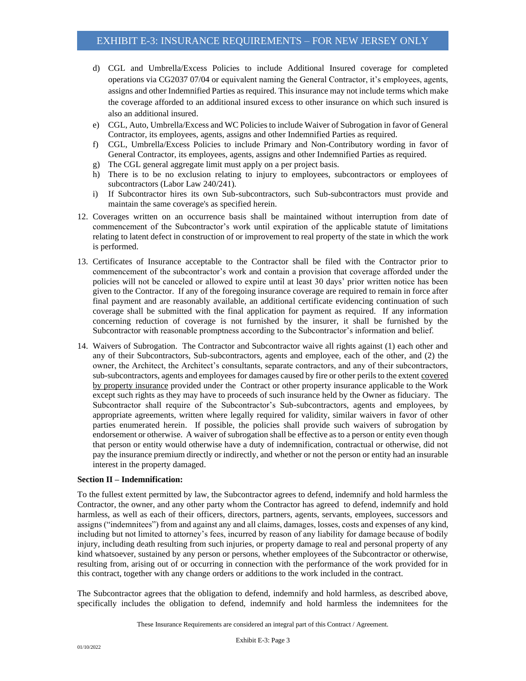- d) CGL and Umbrella/Excess Policies to include Additional Insured coverage for completed operations via CG2037 07/04 or equivalent naming the General Contractor, it's employees, agents, assigns and other Indemnified Parties as required. This insurance may not include terms which make the coverage afforded to an additional insured excess to other insurance on which such insured is also an additional insured.
- e) CGL, Auto, Umbrella/Excess and WC Policies to include Waiver of Subrogation in favor of General Contractor, its employees, agents, assigns and other Indemnified Parties as required.
- f) CGL, Umbrella/Excess Policies to include Primary and Non-Contributory wording in favor of General Contractor, its employees, agents, assigns and other Indemnified Parties as required.
- g) The CGL general aggregate limit must apply on a per project basis.
- h) There is to be no exclusion relating to injury to employees, subcontractors or employees of subcontractors (Labor Law 240/241).
- i) If Subcontractor hires its own Sub-subcontractors, such Sub-subcontractors must provide and maintain the same coverage's as specified herein.
- 12. Coverages written on an occurrence basis shall be maintained without interruption from date of commencement of the Subcontractor's work until expiration of the applicable statute of limitations relating to latent defect in construction of or improvement to real property of the state in which the work is performed.
- 13. Certificates of Insurance acceptable to the Contractor shall be filed with the Contractor prior to commencement of the subcontractor's work and contain a provision that coverage afforded under the policies will not be canceled or allowed to expire until at least 30 days' prior written notice has been given to the Contractor. If any of the foregoing insurance coverage are required to remain in force after final payment and are reasonably available, an additional certificate evidencing continuation of such coverage shall be submitted with the final application for payment as required. If any information concerning reduction of coverage is not furnished by the insurer, it shall be furnished by the Subcontractor with reasonable promptness according to the Subcontractor's information and belief.
- 14. Waivers of Subrogation. The Contractor and Subcontractor waive all rights against (1) each other and any of their Subcontractors, Sub-subcontractors, agents and employee, each of the other, and (2) the owner, the Architect, the Architect's consultants, separate contractors, and any of their subcontractors, sub-subcontractors, agents and employees for damages caused by fire or other perils to the extent covered by property insurance provided under the Contract or other property insurance applicable to the Work except such rights as they may have to proceeds of such insurance held by the Owner as fiduciary. The Subcontractor shall require of the Subcontractor's Sub-subcontractors, agents and employees, by appropriate agreements, written where legally required for validity, similar waivers in favor of other parties enumerated herein. If possible, the policies shall provide such waivers of subrogation by endorsement or otherwise. A waiver of subrogation shall be effective as to a person or entity even though that person or entity would otherwise have a duty of indemnification, contractual or otherwise, did not pay the insurance premium directly or indirectly, and whether or not the person or entity had an insurable interest in the property damaged.

### **Section II – Indemnification:**

To the fullest extent permitted by law, the Subcontractor agrees to defend, indemnify and hold harmless the Contractor, the owner, and any other party whom the Contractor has agreed to defend, indemnify and hold harmless, as well as each of their officers, directors, partners, agents, servants, employees, successors and assigns ("indemnitees") from and against any and all claims, damages, losses, costs and expenses of any kind, including but not limited to attorney's fees, incurred by reason of any liability for damage because of bodily injury, including death resulting from such injuries, or property damage to real and personal property of any kind whatsoever, sustained by any person or persons, whether employees of the Subcontractor or otherwise, resulting from, arising out of or occurring in connection with the performance of the work provided for in this contract, together with any change orders or additions to the work included in the contract.

The Subcontractor agrees that the obligation to defend, indemnify and hold harmless, as described above, specifically includes the obligation to defend, indemnify and hold harmless the indemnitees for the